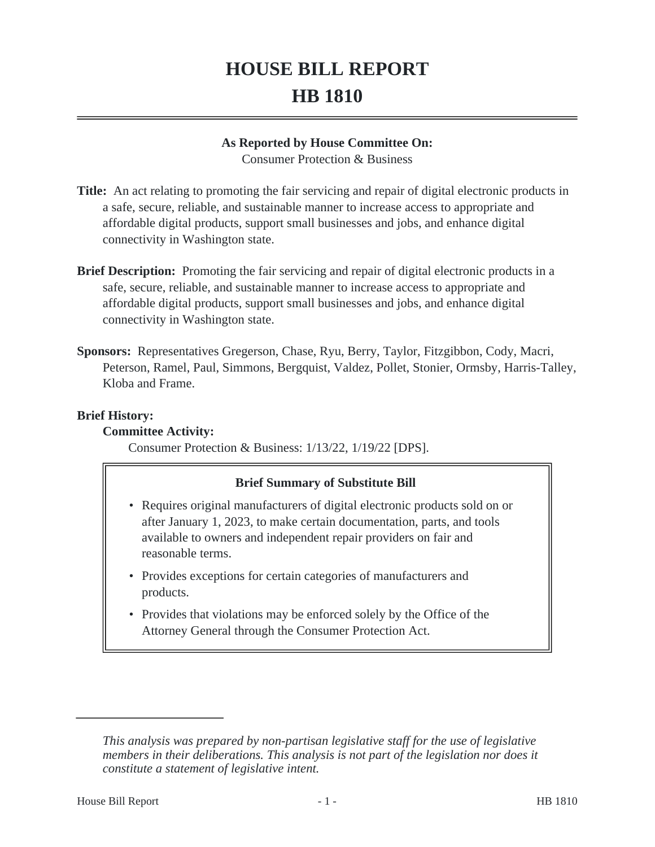# **HOUSE BILL REPORT HB 1810**

#### **As Reported by House Committee On:**

Consumer Protection & Business

- **Title:** An act relating to promoting the fair servicing and repair of digital electronic products in a safe, secure, reliable, and sustainable manner to increase access to appropriate and affordable digital products, support small businesses and jobs, and enhance digital connectivity in Washington state.
- **Brief Description:** Promoting the fair servicing and repair of digital electronic products in a safe, secure, reliable, and sustainable manner to increase access to appropriate and affordable digital products, support small businesses and jobs, and enhance digital connectivity in Washington state.
- **Sponsors:** Representatives Gregerson, Chase, Ryu, Berry, Taylor, Fitzgibbon, Cody, Macri, Peterson, Ramel, Paul, Simmons, Bergquist, Valdez, Pollet, Stonier, Ormsby, Harris-Talley, Kloba and Frame.

#### **Brief History:**

## **Committee Activity:**

Consumer Protection & Business: 1/13/22, 1/19/22 [DPS].

## **Brief Summary of Substitute Bill**

- Requires original manufacturers of digital electronic products sold on or after January 1, 2023, to make certain documentation, parts, and tools available to owners and independent repair providers on fair and reasonable terms.
- Provides exceptions for certain categories of manufacturers and products.
- Provides that violations may be enforced solely by the Office of the Attorney General through the Consumer Protection Act.

*This analysis was prepared by non-partisan legislative staff for the use of legislative members in their deliberations. This analysis is not part of the legislation nor does it constitute a statement of legislative intent.*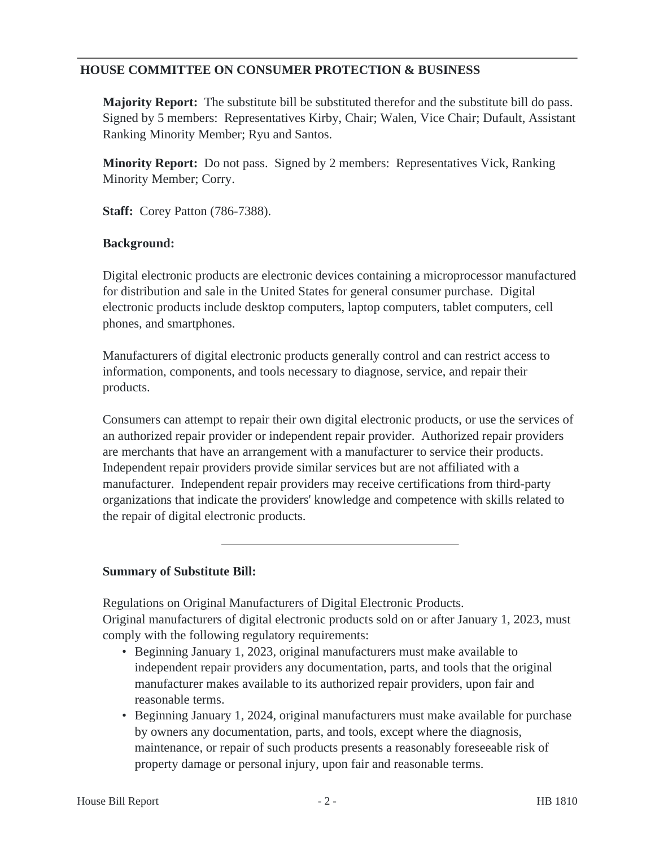## **HOUSE COMMITTEE ON CONSUMER PROTECTION & BUSINESS**

**Majority Report:** The substitute bill be substituted therefor and the substitute bill do pass. Signed by 5 members: Representatives Kirby, Chair; Walen, Vice Chair; Dufault, Assistant Ranking Minority Member; Ryu and Santos.

**Minority Report:** Do not pass. Signed by 2 members: Representatives Vick, Ranking Minority Member; Corry.

**Staff:** Corey Patton (786-7388).

#### **Background:**

Digital electronic products are electronic devices containing a microprocessor manufactured for distribution and sale in the United States for general consumer purchase. Digital electronic products include desktop computers, laptop computers, tablet computers, cell phones, and smartphones.

Manufacturers of digital electronic products generally control and can restrict access to information, components, and tools necessary to diagnose, service, and repair their products.

Consumers can attempt to repair their own digital electronic products, or use the services of an authorized repair provider or independent repair provider. Authorized repair providers are merchants that have an arrangement with a manufacturer to service their products. Independent repair providers provide similar services but are not affiliated with a manufacturer. Independent repair providers may receive certifications from third-party organizations that indicate the providers' knowledge and competence with skills related to the repair of digital electronic products.

## **Summary of Substitute Bill:**

Regulations on Original Manufacturers of Digital Electronic Products. Original manufacturers of digital electronic products sold on or after January 1, 2023, must

- comply with the following regulatory requirements: • Beginning January 1, 2023, original manufacturers must make available to independent repair providers any documentation, parts, and tools that the original
	- manufacturer makes available to its authorized repair providers, upon fair and reasonable terms.
	- Beginning January 1, 2024, original manufacturers must make available for purchase by owners any documentation, parts, and tools, except where the diagnosis, maintenance, or repair of such products presents a reasonably foreseeable risk of property damage or personal injury, upon fair and reasonable terms.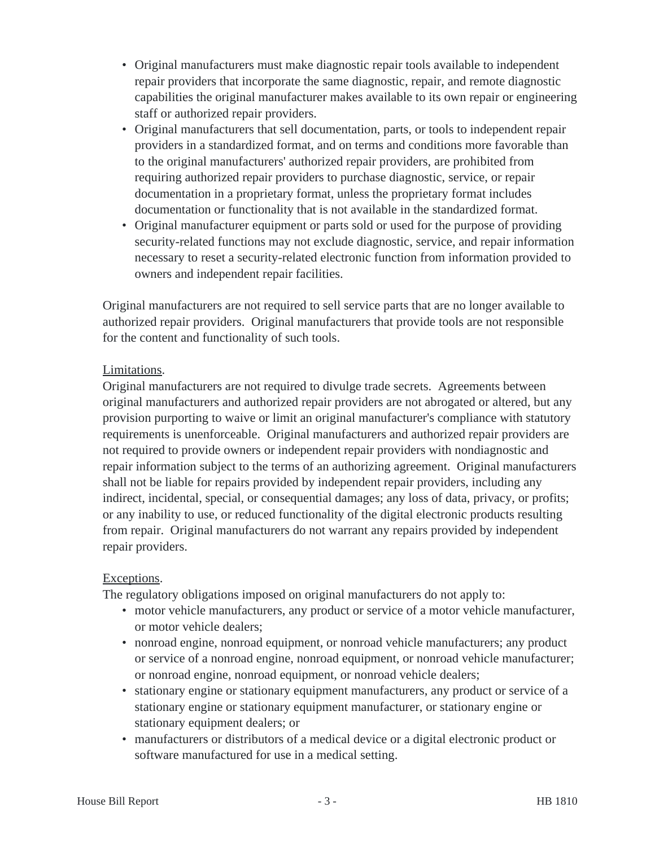- Original manufacturers must make diagnostic repair tools available to independent repair providers that incorporate the same diagnostic, repair, and remote diagnostic capabilities the original manufacturer makes available to its own repair or engineering staff or authorized repair providers.
- Original manufacturers that sell documentation, parts, or tools to independent repair providers in a standardized format, and on terms and conditions more favorable than to the original manufacturers' authorized repair providers, are prohibited from requiring authorized repair providers to purchase diagnostic, service, or repair documentation in a proprietary format, unless the proprietary format includes documentation or functionality that is not available in the standardized format.
- Original manufacturer equipment or parts sold or used for the purpose of providing security-related functions may not exclude diagnostic, service, and repair information necessary to reset a security-related electronic function from information provided to owners and independent repair facilities.

Original manufacturers are not required to sell service parts that are no longer available to authorized repair providers. Original manufacturers that provide tools are not responsible for the content and functionality of such tools.

## Limitations.

Original manufacturers are not required to divulge trade secrets. Agreements between original manufacturers and authorized repair providers are not abrogated or altered, but any provision purporting to waive or limit an original manufacturer's compliance with statutory requirements is unenforceable. Original manufacturers and authorized repair providers are not required to provide owners or independent repair providers with nondiagnostic and repair information subject to the terms of an authorizing agreement. Original manufacturers shall not be liable for repairs provided by independent repair providers, including any indirect, incidental, special, or consequential damages; any loss of data, privacy, or profits; or any inability to use, or reduced functionality of the digital electronic products resulting from repair. Original manufacturers do not warrant any repairs provided by independent repair providers.

## Exceptions.

The regulatory obligations imposed on original manufacturers do not apply to:

- motor vehicle manufacturers, any product or service of a motor vehicle manufacturer, or motor vehicle dealers;
- nonroad engine, nonroad equipment, or nonroad vehicle manufacturers; any product or service of a nonroad engine, nonroad equipment, or nonroad vehicle manufacturer; or nonroad engine, nonroad equipment, or nonroad vehicle dealers;
- stationary engine or stationary equipment manufacturers, any product or service of a stationary engine or stationary equipment manufacturer, or stationary engine or stationary equipment dealers; or
- manufacturers or distributors of a medical device or a digital electronic product or software manufactured for use in a medical setting.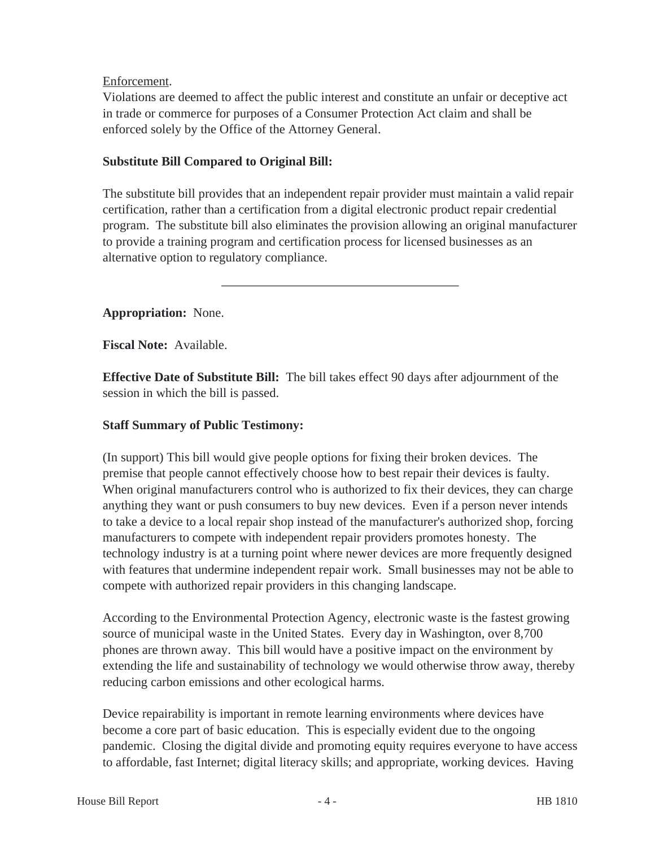## Enforcement.

Violations are deemed to affect the public interest and constitute an unfair or deceptive act in trade or commerce for purposes of a Consumer Protection Act claim and shall be enforced solely by the Office of the Attorney General.

## **Substitute Bill Compared to Original Bill:**

The substitute bill provides that an independent repair provider must maintain a valid repair certification, rather than a certification from a digital electronic product repair credential program. The substitute bill also eliminates the provision allowing an original manufacturer to provide a training program and certification process for licensed businesses as an alternative option to regulatory compliance.

**Appropriation:** None.

**Fiscal Note:** Available.

**Effective Date of Substitute Bill:** The bill takes effect 90 days after adjournment of the session in which the bill is passed.

## **Staff Summary of Public Testimony:**

(In support) This bill would give people options for fixing their broken devices. The premise that people cannot effectively choose how to best repair their devices is faulty. When original manufacturers control who is authorized to fix their devices, they can charge anything they want or push consumers to buy new devices. Even if a person never intends to take a device to a local repair shop instead of the manufacturer's authorized shop, forcing manufacturers to compete with independent repair providers promotes honesty. The technology industry is at a turning point where newer devices are more frequently designed with features that undermine independent repair work. Small businesses may not be able to compete with authorized repair providers in this changing landscape.

According to the Environmental Protection Agency, electronic waste is the fastest growing source of municipal waste in the United States. Every day in Washington, over 8,700 phones are thrown away. This bill would have a positive impact on the environment by extending the life and sustainability of technology we would otherwise throw away, thereby reducing carbon emissions and other ecological harms.

Device repairability is important in remote learning environments where devices have become a core part of basic education. This is especially evident due to the ongoing pandemic. Closing the digital divide and promoting equity requires everyone to have access to affordable, fast Internet; digital literacy skills; and appropriate, working devices. Having